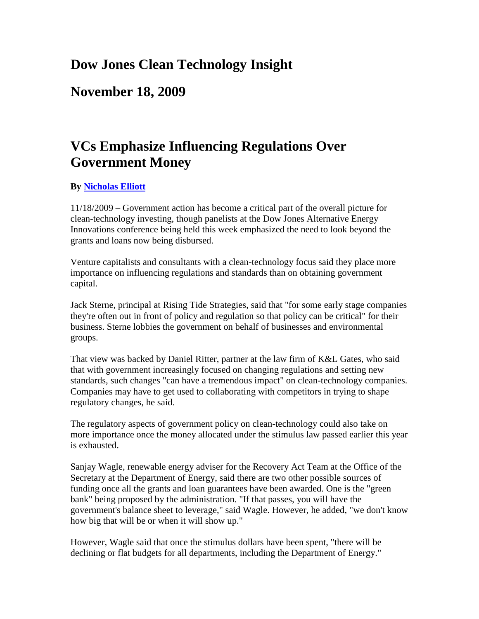## **Dow Jones Clean Technology Insight**

**November 18, 2009**

## **VCs Emphasize Influencing Regulations Over Government Money**

## **By [Nicholas Elliott](mailto:nick.elliott@dowjones.com)**

11/18/2009 – Government action has become a critical part of the overall picture for clean-technology investing, though panelists at the Dow Jones Alternative Energy Innovations conference being held this week emphasized the need to look beyond the grants and loans now being disbursed.

Venture capitalists and consultants with a clean-technology focus said they place more importance on influencing regulations and standards than on obtaining government capital.

Jack Sterne, principal at Rising Tide Strategies, said that "for some early stage companies they're often out in front of policy and regulation so that policy can be critical" for their business. Sterne lobbies the government on behalf of businesses and environmental groups.

That view was backed by Daniel Ritter, partner at the law firm of K&L Gates, who said that with government increasingly focused on changing regulations and setting new standards, such changes "can have a tremendous impact" on clean-technology companies. Companies may have to get used to collaborating with competitors in trying to shape regulatory changes, he said.

The regulatory aspects of government policy on clean-technology could also take on more importance once the money allocated under the stimulus law passed earlier this year is exhausted.

Sanjay Wagle, renewable energy adviser for the Recovery Act Team at the Office of the Secretary at the Department of Energy, said there are two other possible sources of funding once all the grants and loan guarantees have been awarded. One is the "green bank" being proposed by the administration. "If that passes, you will have the government's balance sheet to leverage," said Wagle. However, he added, "we don't know how big that will be or when it will show up."

However, Wagle said that once the stimulus dollars have been spent, "there will be declining or flat budgets for all departments, including the Department of Energy."